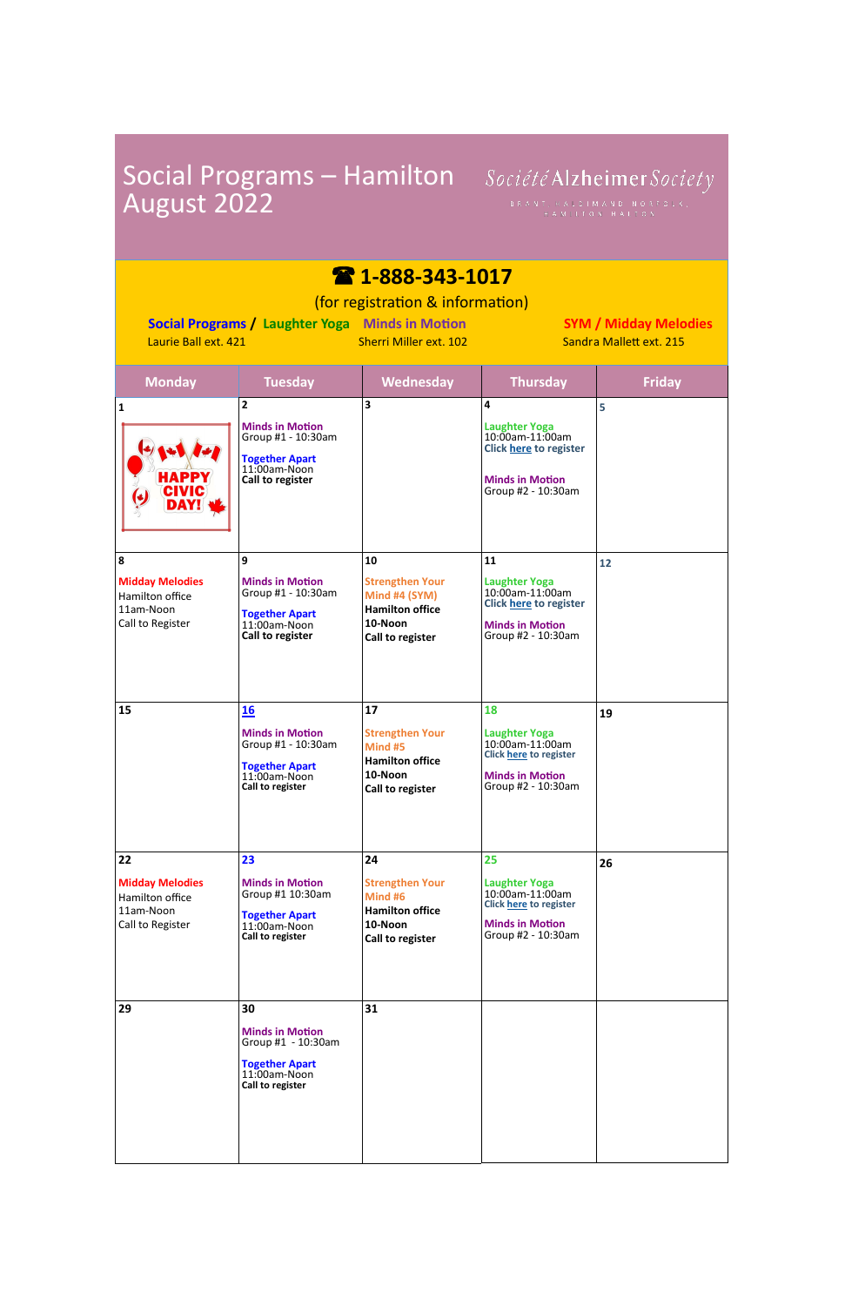| August 2022                                                                                                                                                                                                                         |                                                                                                                        | Social Programs - Hamilton Société Alzheimer Society<br>BRANT, HALDIMAND NORFOLK,<br>HAMILTON HALTON          |                                                                                                                                |               |  |  |
|-------------------------------------------------------------------------------------------------------------------------------------------------------------------------------------------------------------------------------------|------------------------------------------------------------------------------------------------------------------------|---------------------------------------------------------------------------------------------------------------|--------------------------------------------------------------------------------------------------------------------------------|---------------|--|--|
| $\bullet$ 1-888-343-1017<br>(for registration & information)<br>Social Programs / Laughter Yoga Minds in Motion<br><b>SYM / Midday Melodies</b><br>Laurie Ball ext. 421<br><b>Sherri Miller ext. 102</b><br>Sandra Mallett ext. 215 |                                                                                                                        |                                                                                                               |                                                                                                                                |               |  |  |
| <b>Monday</b>                                                                                                                                                                                                                       | <b>Tuesday</b>                                                                                                         | <b>Wednesday</b>                                                                                              | <b>Thursday</b>                                                                                                                | <b>Friday</b> |  |  |
| $\mathbf{1}$<br><b>HAPPY</b><br><b>CIVIC</b><br><b>DAY!</b>                                                                                                                                                                         | 2<br><b>Minds in Motion</b><br>Group #1 - 10:30am<br><b>Together Apart</b><br>$11:00am-Noon$<br>Call to register       | 3                                                                                                             | 4<br><b>Laughter Yoga</b><br>10:00am-11:00am<br><b>Click here to register</b><br><b>Minds in Motion</b><br>Group #2 - 10:30am  | 5             |  |  |
| 8<br><b>Midday Melodies</b><br>Hamilton office<br>11am-Noon<br>Call to Register                                                                                                                                                     | 9<br><b>Minds in Motion</b><br>Group #1 - 10:30am<br><b>Together Apart</b><br>11:00am-Noon<br>Call to register         | 10<br><b>Strengthen Your</b><br>Mind #4 (SYM)<br><b>Hamilton office</b><br>10-Noon<br><b>Call to register</b> | 11<br><b>Laughter Yoga</b><br>10:00am-11:00am<br><b>Click here to register</b><br><b>Minds in Motion</b><br>Group #2 - 10:30am | 12            |  |  |
| 15                                                                                                                                                                                                                                  | <u>16</u><br><b>Minds in Motion</b><br>Group #1 - 10:30am<br><b>Together Apart</b><br>11:00am-Noon<br>Call to register | 17<br><b>Strengthen Your</b><br>Mind #5<br><b>Hamilton office</b><br>10-Noon<br>Call to register              | 18<br><b>Laughter Yoga</b><br>10:00am-11:00am<br><b>Click here to register</b><br><b>Minds in Motion</b><br>Group #2 - 10:30am | 19            |  |  |
| 22<br><b>Midday Melodies</b><br>Hamilton office<br>11am-Noon<br>Call to Register                                                                                                                                                    | 23<br><b>Minds in Motion</b><br>Group #1 10:30am<br><b>Together Apart</b><br>11:00am-Noon<br>Call to register          | 24<br><b>Strengthen Your</b><br>Mind #6<br><b>Hamilton office</b><br>10-Noon<br>Call to register              | 25<br><b>Laughter Yoga</b><br>10:00am-11:00am<br><b>Click here to register</b><br><b>Minds in Motion</b><br>Group #2 - 10:30am | 26            |  |  |

| 29 | 30                                                                                                 | 31 |  |
|----|----------------------------------------------------------------------------------------------------|----|--|
|    | <b>Minds in Motion</b><br>Group #1 - 10:30am<br>Together Apart<br>11:00am-Noon<br>Call to register |    |  |